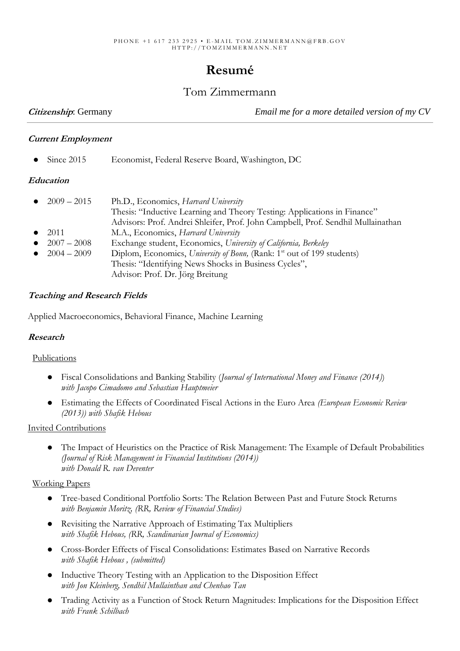# **Resumé**

## Tom Zimmermann

**Citizenship**: Germany *Email me for a more detailed version of my CV*

#### **Current Employment**

Since 2015 Economist, Federal Reserve Board, Washington, DC

#### **Education**

| • $2009 - 2015$ | Ph.D., Economics, Harvard University                                               |
|-----------------|------------------------------------------------------------------------------------|
|                 | Thesis: "Inductive Learning and Theory Testing: Applications in Finance"           |
|                 | Advisors: Prof. Andrei Shleifer, Prof. John Campbell, Prof. Sendhil Mullainathan   |
| $\bullet$ 2011  | M.A., Economics, Harvard University                                                |
| • $2007 - 2008$ | Exchange student, Economics, University of California, Berkeley                    |
| • $2004 - 2009$ | Diplom, Economics, University of Bonn, (Rank: 1 <sup>st</sup> out of 199 students) |
|                 | Thesis: "Identifying News Shocks in Business Cycles",                              |
|                 |                                                                                    |

Advisor: Prof. Dr. Jörg Breitung

#### **Teaching and Research Fields**

Applied Macroeconomics, Behavioral Finance, Machine Learning

#### **Research**

#### Publications

- Fiscal Consolidations and Banking Stability (*Journal of International Money and Finance (2014)*) *with Jacopo Cimadomo and Sebastian Hauptmeier*
- Estimating the Effects of Coordinated Fiscal Actions in the Euro Area *(European Economic Review (2013)) with Shafik Hebous*

#### Invited Contributions

 The Impact of Heuristics on the Practice of Risk Management: The Example of Default Probabilities *(Journal of Risk Management in Financial Institutions (2014)) with Donald R. van Deventer*

#### Working Papers

- Tree-based Conditional Portfolio Sorts: The Relation Between Past and Future Stock Returns *with Benjamin Moritz, (RR, Review of Financial Studies)*
- Revisiting the Narrative Approach of Estimating Tax Multipliers *with Shafik Hebous, (RR, Scandinavian Journal of Economics)*
- Cross-Border Effects of Fiscal Consolidations: Estimates Based on Narrative Records *with Shafik Hebous , (submitted)*
- Inductive Theory Testing with an Application to the Disposition Effect *with Jon Kleinberg, Sendhil Mullainthan and Chenhao Tan*
- Trading Activity as a Function of Stock Return Magnitudes: Implications for the Disposition Effect *with Frank Schilbach*